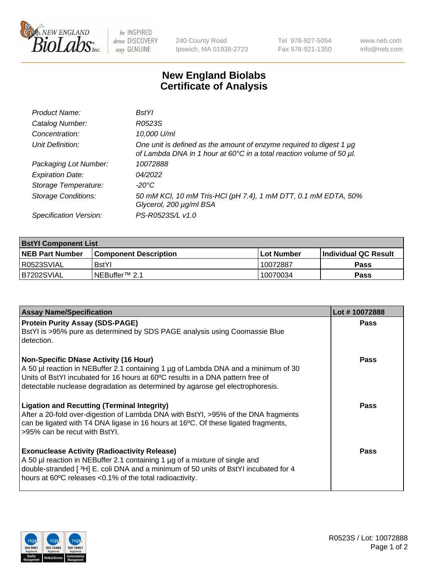

be INSPIRED drive DISCOVERY stay GENUINE

240 County Road Ipswich, MA 01938-2723 Tel 978-927-5054 Fax 978-921-1350 www.neb.com info@neb.com

## **New England Biolabs Certificate of Analysis**

| Product Name:              | BstYl                                                                                                                                       |
|----------------------------|---------------------------------------------------------------------------------------------------------------------------------------------|
| Catalog Number:            | R0523S                                                                                                                                      |
| Concentration:             | 10,000 U/ml                                                                                                                                 |
| Unit Definition:           | One unit is defined as the amount of enzyme required to digest 1 µg<br>of Lambda DNA in 1 hour at 60°C in a total reaction volume of 50 µl. |
| Packaging Lot Number:      | 10072888                                                                                                                                    |
| <b>Expiration Date:</b>    | 04/2022                                                                                                                                     |
| Storage Temperature:       | -20°C                                                                                                                                       |
| <b>Storage Conditions:</b> | 50 mM KCl, 10 mM Tris-HCl (pH 7.4), 1 mM DTT, 0.1 mM EDTA, 50%<br>Glycerol, 200 µg/ml BSA                                                   |
| Specification Version:     | PS-R0523S/L v1.0                                                                                                                            |

| <b>BstYl Component List</b> |                         |              |                             |  |  |
|-----------------------------|-------------------------|--------------|-----------------------------|--|--|
| <b>NEB Part Number</b>      | l Component Description | l Lot Number | <b>Individual QC Result</b> |  |  |
| I R0523SVIAL                | <b>BstYI</b>            | 10072887     | Pass                        |  |  |
| IB7202SVIAL                 | INEBuffer™ 2.1          | 10070034     | Pass                        |  |  |

| <b>Assay Name/Specification</b>                                                                                                                                                                                                                                                                       | Lot #10072888 |
|-------------------------------------------------------------------------------------------------------------------------------------------------------------------------------------------------------------------------------------------------------------------------------------------------------|---------------|
| <b>Protein Purity Assay (SDS-PAGE)</b><br>BstYI is >95% pure as determined by SDS PAGE analysis using Coomassie Blue<br>detection.                                                                                                                                                                    | Pass          |
| <b>Non-Specific DNase Activity (16 Hour)</b><br>A 50 µl reaction in NEBuffer 2.1 containing 1 µg of Lambda DNA and a minimum of 30<br>Units of BstYI incubated for 16 hours at 60°C results in a DNA pattern free of<br>detectable nuclease degradation as determined by agarose gel electrophoresis. | <b>Pass</b>   |
| <b>Ligation and Recutting (Terminal Integrity)</b><br>After a 20-fold over-digestion of Lambda DNA with BstYI, >95% of the DNA fragments<br>can be ligated with T4 DNA ligase in 16 hours at 16°C. Of these ligated fragments,<br>>95% can be recut with BstYI.                                       | Pass          |
| <b>Exonuclease Activity (Radioactivity Release)</b><br>A 50 µl reaction in NEBuffer 2.1 containing 1 µg of a mixture of single and<br>double-stranded [3H] E. coli DNA and a minimum of 50 units of BstYl incubated for 4<br>hours at 60°C releases <0.1% of the total radioactivity.                 | <b>Pass</b>   |